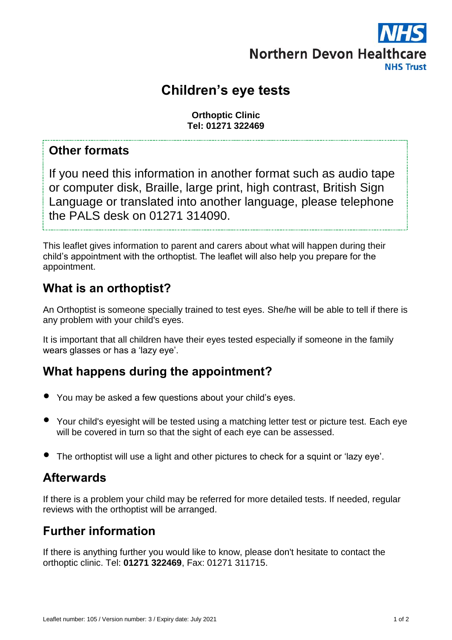

# **Children's eye tests**

**Orthoptic Clinic Tel: 01271 322469**

#### **Other formats**

If you need this information in another format such as audio tape or computer disk, Braille, large print, high contrast, British Sign Language or translated into another language, please telephone the PALS desk on 01271 314090.

This leaflet gives information to parent and carers about what will happen during their child's appointment with the orthoptist. The leaflet will also help you prepare for the appointment.

### **What is an orthoptist?**

An Orthoptist is someone specially trained to test eyes. She/he will be able to tell if there is any problem with your child's eyes.

It is important that all children have their eyes tested especially if someone in the family wears glasses or has a 'lazy eye'.

## **What happens during the appointment?**

- You may be asked a few questions about your child's eyes.
- Your child's eyesight will be tested using a matching letter test or picture test. Each eye will be covered in turn so that the sight of each eye can be assessed.
- The orthoptist will use a light and other pictures to check for a squint or 'lazy eye'.

#### **Afterwards**

If there is a problem your child may be referred for more detailed tests. If needed, regular reviews with the orthoptist will be arranged.

## **Further information**

If there is anything further you would like to know, please don't hesitate to contact the orthoptic clinic. Tel: **01271 322469**, Fax: 01271 311715.